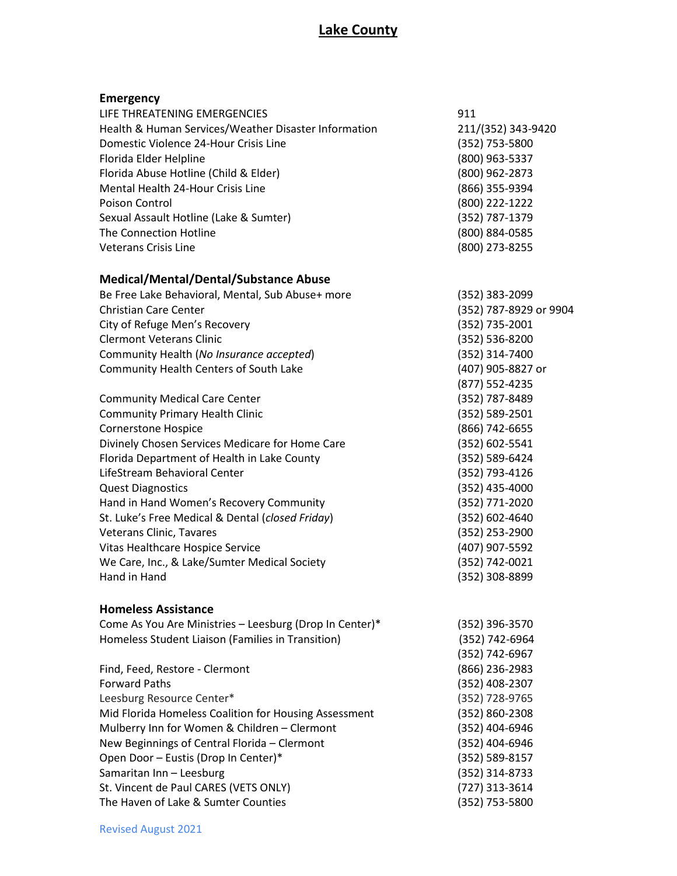| <b>Emergency</b>                                        |                        |
|---------------------------------------------------------|------------------------|
| LIFE THREATENING EMERGENCIES                            | 911                    |
| Health & Human Services/Weather Disaster Information    | 211/(352) 343-9420     |
| Domestic Violence 24-Hour Crisis Line                   | (352) 753-5800         |
| Florida Elder Helpline                                  | (800) 963-5337         |
| Florida Abuse Hotline (Child & Elder)                   | (800) 962-2873         |
| Mental Health 24-Hour Crisis Line                       | (866) 355-9394         |
| Poison Control                                          | (800) 222-1222         |
| Sexual Assault Hotline (Lake & Sumter)                  | (352) 787-1379         |
| The Connection Hotline                                  | (800) 884-0585         |
| <b>Veterans Crisis Line</b>                             | (800) 273-8255         |
| <b>Medical/Mental/Dental/Substance Abuse</b>            |                        |
| Be Free Lake Behavioral, Mental, Sub Abuse+ more        | (352) 383-2099         |
| <b>Christian Care Center</b>                            | (352) 787-8929 or 9904 |
| City of Refuge Men's Recovery                           | (352) 735-2001         |
| <b>Clermont Veterans Clinic</b>                         | (352) 536-8200         |
| Community Health (No Insurance accepted)                | (352) 314-7400         |
| Community Health Centers of South Lake                  | (407) 905-8827 or      |
|                                                         | (877) 552-4235         |
| <b>Community Medical Care Center</b>                    | (352) 787-8489         |
| <b>Community Primary Health Clinic</b>                  | (352) 589-2501         |
| <b>Cornerstone Hospice</b>                              | (866) 742-6655         |
| Divinely Chosen Services Medicare for Home Care         | (352) 602-5541         |
| Florida Department of Health in Lake County             | (352) 589-6424         |
| LifeStream Behavioral Center                            | (352) 793-4126         |
| <b>Quest Diagnostics</b>                                | (352) 435-4000         |
| Hand in Hand Women's Recovery Community                 | (352) 771-2020         |
| St. Luke's Free Medical & Dental (closed Friday)        | (352) 602-4640         |
| Veterans Clinic, Tavares                                | (352) 253-2900         |
| Vitas Healthcare Hospice Service                        | (407) 907-5592         |
| We Care, Inc., & Lake/Sumter Medical Society            | (352) 742-0021         |
| Hand in Hand                                            | (352) 308-8899         |
| <b>Homeless Assistance</b>                              |                        |
| Come As You Are Ministries - Leesburg (Drop In Center)* | (352) 396-3570         |
| Homeless Student Liaison (Families in Transition)       | (352) 742-6964         |
|                                                         | (352) 742-6967         |
| Find, Feed, Restore - Clermont                          | $(866)$ 236-2983       |
| <b>Forward Paths</b>                                    | (352) 408-2307         |
| Leesburg Resource Center*                               | (352) 728-9765         |
| Mid Florida Homeless Coalition for Housing Assessment   | (352) 860-2308         |
| Mulberry Inn for Women & Children - Clermont            | (352) 404-6946         |
| New Beginnings of Central Florida - Clermont            | (352) 404-6946         |
| Open Door - Eustis (Drop In Center)*                    | (352) 589-8157         |
| Samaritan Inn - Leesburg                                | (352) 314-8733         |
| St. Vincent de Paul CARES (VETS ONLY)                   | (727) 313-3614         |
| The Haven of Lake & Sumter Counties                     | (352) 753-5800         |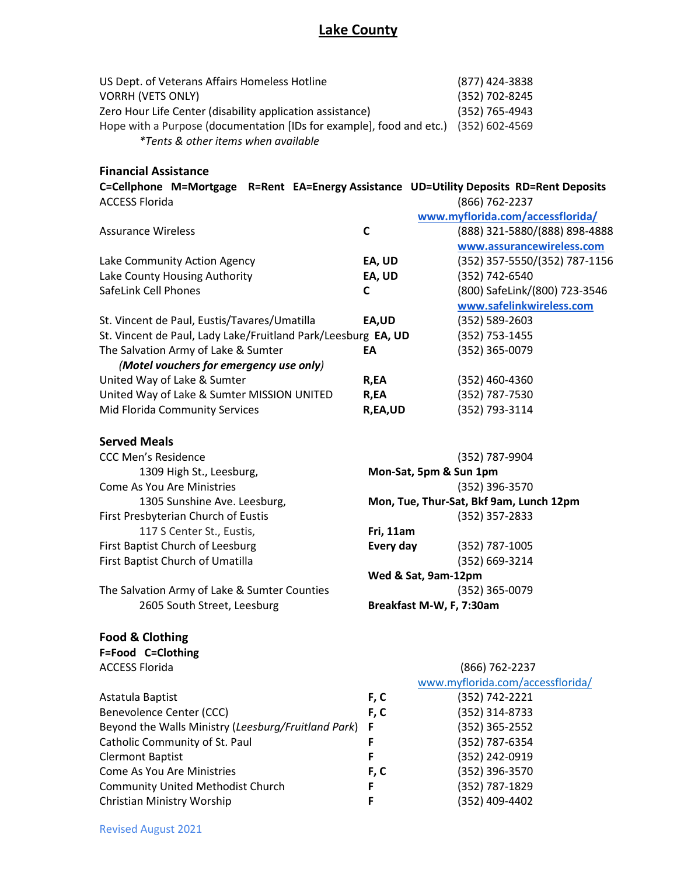| US Dept. of Veterans Affairs Homeless Hotline                                       | (877) 424-3838 |
|-------------------------------------------------------------------------------------|----------------|
| <b>VORRH (VETS ONLY)</b>                                                            | (352) 702-8245 |
| Zero Hour Life Center (disability application assistance)                           | (352) 765-4943 |
| Hope with a Purpose (documentation [IDs for example], food and etc.) (352) 602-4569 |                |
| <i>*Tents &amp; other items when available</i>                                      |                |

#### **Financial Assistance**

| C=Cellphone M=Mortgage R=Rent EA=Energy Assistance UD=Utility Deposits RD=Rent Deposits |  |                |  |
|-----------------------------------------------------------------------------------------|--|----------------|--|
| <b>ACCESS Florida</b>                                                                   |  | (866) 762-2237 |  |

|                                                               |         | www.myflorida.com/accessflorida/ |
|---------------------------------------------------------------|---------|----------------------------------|
| <b>Assurance Wireless</b>                                     | C       | (888) 321-5880/(888) 898-4888    |
|                                                               |         | www.assurancewireless.com        |
| Lake Community Action Agency                                  | EA, UD  | (352) 357-5550/(352) 787-1156    |
| Lake County Housing Authority                                 | EA, UD  | (352) 742-6540                   |
| SafeLink Cell Phones                                          | C       | (800) SafeLink/(800) 723-3546    |
|                                                               |         | www.safelinkwireless.com         |
| St. Vincent de Paul, Eustis/Tavares/Umatilla                  | EA,UD   | (352) 589-2603                   |
| St. Vincent de Paul, Lady Lake/Fruitland Park/Leesburg EA, UD |         | (352) 753-1455                   |
| The Salvation Army of Lake & Sumter                           | EА      | (352) 365-0079                   |
| (Motel vouchers for emergency use only)                       |         |                                  |
| United Way of Lake & Sumter                                   | R,EA    | (352) 460-4360                   |
| United Way of Lake & Sumter MISSION UNITED                    | R,EA    | (352) 787-7530                   |
| Mid Florida Community Services                                | R,EA,UD | (352) 793-3114                   |

#### **Served Meals**

| <b>CCC Men's Residence</b>                   |                          | (352) 787-9904                          |
|----------------------------------------------|--------------------------|-----------------------------------------|
| 1309 High St., Leesburg,                     | Mon-Sat, 5pm & Sun 1pm   |                                         |
| <b>Come As You Are Ministries</b>            |                          | (352) 396-3570                          |
| 1305 Sunshine Ave. Leesburg,                 |                          | Mon, Tue, Thur-Sat, Bkf 9am, Lunch 12pm |
| First Presbyterian Church of Eustis          |                          | (352) 357-2833                          |
| 117 S Center St., Eustis,                    | Fri, 11am                |                                         |
| First Baptist Church of Leesburg             | Every day                | (352) 787-1005                          |
| First Baptist Church of Umatilla             |                          | (352) 669-3214                          |
|                                              | Wed & Sat, 9am-12pm      |                                         |
| The Salvation Army of Lake & Sumter Counties |                          | (352) 365-0079                          |
| 2605 South Street, Leesburg                  | Breakfast M-W, F, 7:30am |                                         |

### **Food & Clothing**

**F=Food C=Clothing** 

ACCESS Florida (866) 762-2237

|                                                       |      | www.myflorida.com/accessflorida/ |
|-------------------------------------------------------|------|----------------------------------|
| Astatula Baptist                                      | F, C | (352) 742-2221                   |
| Benevolence Center (CCC)                              | F, C | (352) 314-8733                   |
| Beyond the Walls Ministry (Leesburg/Fruitland Park) F |      | $(352)$ 365-2552                 |
| Catholic Community of St. Paul                        |      | (352) 787-6354                   |
| <b>Clermont Baptist</b>                               | F    | (352) 242-0919                   |
| Come As You Are Ministries                            | F, C | (352) 396-3570                   |
| <b>Community United Methodist Church</b>              |      | (352) 787-1829                   |
| Christian Ministry Worship                            | F    | (352) 409-4402                   |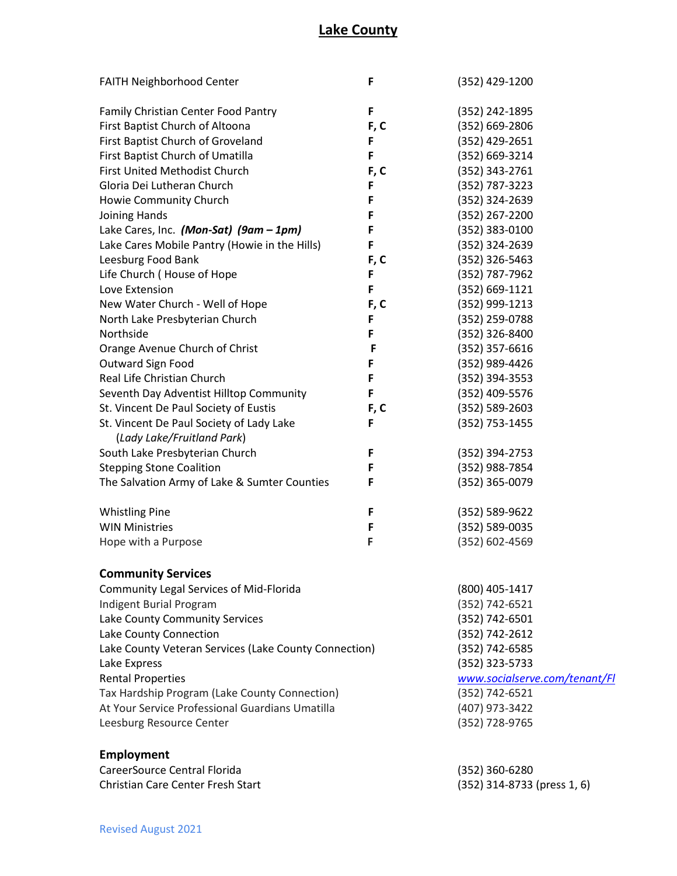| FAITH Neighborhood Center                             | F              | (352) 429-1200                |
|-------------------------------------------------------|----------------|-------------------------------|
| Family Christian Center Food Pantry                   | F              | (352) 242-1895                |
| First Baptist Church of Altoona                       | F, C           | (352) 669-2806                |
| First Baptist Church of Groveland                     | F              | (352) 429-2651                |
| First Baptist Church of Umatilla                      | F              | (352) 669-3214                |
| <b>First United Methodist Church</b>                  | F, C           | (352) 343-2761                |
| Gloria Dei Lutheran Church                            | F              | (352) 787-3223                |
| Howie Community Church                                | F              | (352) 324-2639                |
| Joining Hands                                         | F              | (352) 267-2200                |
| Lake Cares, Inc. (Mon-Sat) (9am - 1pm)                | F              | (352) 383-0100                |
| Lake Cares Mobile Pantry (Howie in the Hills)         | F              | (352) 324-2639                |
| Leesburg Food Bank                                    | F, C           | (352) 326-5463                |
| Life Church (House of Hope                            | F              | (352) 787-7962                |
| Love Extension                                        | F              | (352) 669-1121                |
| New Water Church - Well of Hope                       | F, C           | (352) 999-1213                |
| North Lake Presbyterian Church                        | F              | (352) 259-0788                |
| Northside                                             | F              | (352) 326-8400                |
| Orange Avenue Church of Christ                        | F              | (352) 357-6616                |
| Outward Sign Food                                     | F              | (352) 989-4426                |
| Real Life Christian Church                            | F              | (352) 394-3553                |
| Seventh Day Adventist Hilltop Community               | F              | (352) 409-5576                |
| St. Vincent De Paul Society of Eustis                 | F, C           | (352) 589-2603                |
| St. Vincent De Paul Society of Lady Lake              | F              | (352) 753-1455                |
| (Lady Lake/Fruitland Park)                            |                |                               |
| South Lake Presbyterian Church                        | F              | (352) 394-2753                |
| <b>Stepping Stone Coalition</b>                       | F              | (352) 988-7854                |
| The Salvation Army of Lake & Sumter Counties          | F              | (352) 365-0079                |
|                                                       |                |                               |
| <b>Whistling Pine</b>                                 | F              | (352) 589-9622                |
| <b>WIN Ministries</b>                                 | F              | (352) 589-0035                |
| Hope with a Purpose                                   | F              | (352) 602-4569                |
|                                                       |                |                               |
| <b>Community Services</b>                             |                |                               |
| Community Legal Services of Mid-Florida               |                | (800) 405-1417                |
| <b>Indigent Burial Program</b>                        |                | (352) 742-6521                |
| Lake County Community Services                        |                | (352) 742-6501                |
| Lake County Connection                                |                | (352) 742-2612                |
| Lake County Veteran Services (Lake County Connection) | (352) 742-6585 |                               |
| Lake Express                                          |                | (352) 323-5733                |
| <b>Rental Properties</b>                              |                | www.socialserve.com/tenant/Fl |
| Tax Hardship Program (Lake County Connection)         |                | (352) 742-6521                |
| At Your Service Professional Guardians Umatilla       |                | (407) 973-3422                |
| Leesburg Resource Center                              |                | (352) 728-9765                |
| <b>Employment</b>                                     |                |                               |
| CareerSource Central Florida                          |                | (352) 360-6280                |
|                                                       |                |                               |

Christian Care Center Fresh Start (352) 314-8733 (press 1, 6)